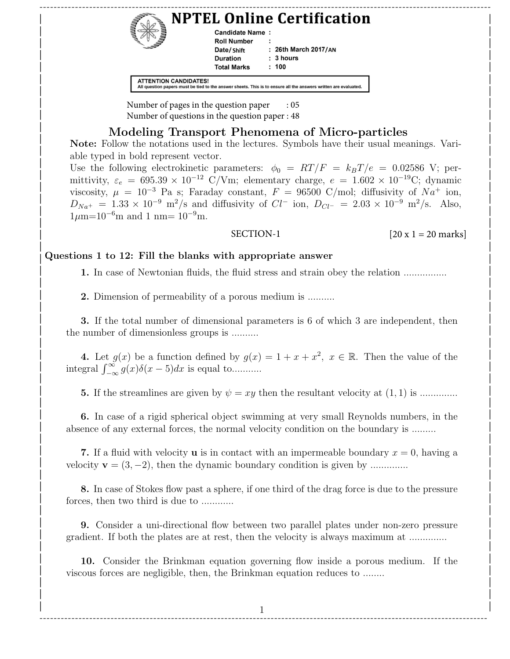|                              |                    | <b>NPTEL Online Certification</b>                                                                               |  |
|------------------------------|--------------------|-----------------------------------------------------------------------------------------------------------------|--|
|                              | Candidate Name:    |                                                                                                                 |  |
|                              | <b>Roll Number</b> |                                                                                                                 |  |
|                              | Date/Shift         | $: 26th$ March 2017/AN                                                                                          |  |
|                              | <b>Duration</b>    | : 3 hours                                                                                                       |  |
|                              | <b>Total Marks</b> | : 100                                                                                                           |  |
| <b>ATTENTION CANDIDATES!</b> |                    | All question papers must be tied to the answer sheets. This is to ensure all the answers written are evaluated. |  |

Number of pages in the question paper : 05 | | | Number of questions in the question paper : 48

# | Modeling Transport Phenomena of Micro-particles

Note: Follow the notations used in the lectures. Symbols have their usual meanings. Variable typed in bold represent vector. show the hold represent vector. Symbols have their asian incarings. This

Use the following electrokinetic parameters:  $\phi_0 = RT/F = k_BT/e = 0.02586 \text{ V}; \text{ per-}$ mittivity,  $\varepsilon_e = 695.39 \times 10^{-12}$  C/Vm; elementary charge,  $e = 1.602 \times 10^{-19}$ C; dynamic viscosity,  $\mu = 10^{-3}$  Pa s; Faraday constant,  $F = 96500$  C/mol; diffusivity of  $Na^+$  ion,  $D_{Na^+} = 1.33 \times 10^{-9} \text{ m}^2/\text{s}$  and diffusivity of  $Cl^-$  ion,  $D_{Cl^-} = 2.03 \times 10^{-9} \text{ m}^2/\text{s}$ . Also,  $1\mu$ m=10<sup>-6</sup>m and 1 nm= 10<sup>-9</sup>m.  $\left[ \frac{D_{Na}}{1 \text{ cm} - 10^{-6} \text{m}} \text{ and } 1 \text{ nm} - 10^{-9} \text{m} \right]$  $\mu_{\text{min}}$  to make that to m.

#### SECTION-1

[20 x 1 = 20 marks] | |

#### $\int Q$ uestions 1 to 12: Fill the blanks with appropriate answer | |

1. In case of Newtonian fluids, the fluid stress and strain obey the relation ................ | | | |

| **2.** Dimension of permeability of a porous medium is .......... | |

1 3. If the total number of dimensional parameters is 6 of which 3 are independent, then | the number of dimensionless groups is .......... | |

4. Let  $g(x)$  be a function defined by  $g(x) = 1 + x + x^2, x \in \mathbb{R}$ . Then the value of the  $\lim_{x \to \infty} \frac{\int_{-\infty}^{\infty} g(x)\delta(x-5)dx$  is equal to........... | |

5. If the streamlines are given by ψ = xy then the resultant velocity at (1, 1) is .............. | | | |

1 6. In case of a rigid spherical object swimming at very small Reynolds numbers, in the | absence of any external forces, the normal velocity condition on the boundary is ........ | |

**7.** If a fluid with velocity **u** is in contact with an impermeable boundary  $x = 0$ , having a  $\mathbf{v} = (3, -2)$ , then the dynamic boundary condition is given by .............. | |

8. In case of Stokes flow past a sphere, if one third of the drag force is due to the pressure | forces, then two third is due to ............ | |

<sup>1</sup> 9. Consider a uni-directional flow between two parallel plates under non-zero pressure | gradient. If both the plates are at rest, then the velocity is always maximum at ................ | |

10. Consider the Brinkman equation governing flow inside a porous medium. If the | viscous forces are negligible, then, the Brinkman equation reduces to ....... | |

1 | | ------------------------------------------------------------------------------------------------------------------------------

| |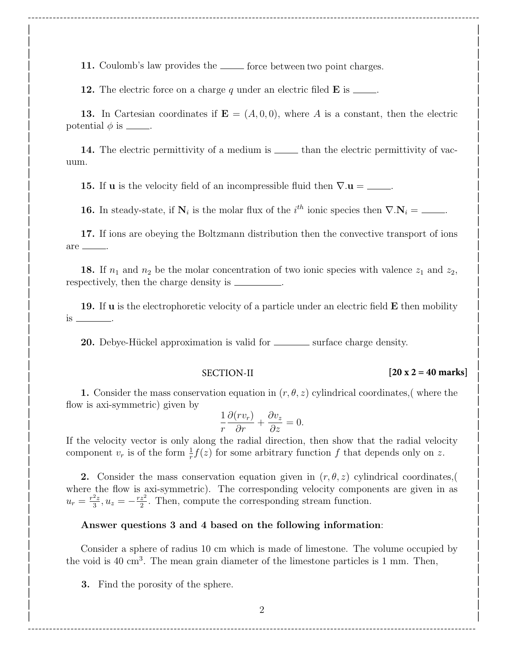| 11. Coulomb's law provides the <u>equal force</u> between two point charges.

**12.** The electric force on a charge q under an electric filed  $\bf{E}$  is \_\_\_\_\_.

13. In Cartesian coordinates if  $\mathbf{E} = (A, 0, 0)$ , where A is a constant, then the electric  $|$  potential  $\phi$  is  $\Box$ .

------------------------------------------------------------------------------------------------------------------------------- | | | | | |

| |

| |

| |

| |

| |

| |

14. The electric permittivity of a medium is <u>equal</u> than the electric permittivity of vacuum. | |

15. If **u** is the velocity field of an incompressible fluid then  $\nabla \cdot \mathbf{u} =$  \_\_\_\_.

16. In steady-state, if  $N_i$  is the molar flux of the  $i^{th}$  ionic species then  $\nabla \cdot N_i =$  \_\_\_\_\_.

| 17. If ions are obeying the Boltzmann distribution then the convective transport of ions  $are$  \_\_\_\_\_\_. | are <u>\_\_\_\_\_</u> | |

**18.** If  $n_1$  and  $n_2$  be the molar concentration of two ionic species with valence  $z_1$  and  $z_2$ , | respectively, then the charge density is \_\_\_\_\_\_\_\_\_.

| |

| |

| |

19. If **u** is the electrophoretic velocity of a particle under an electric field **E** then mobility is .  $\frac{1}{18}$   $\frac{1}{18}$ 

| 20. Debye-Hückel approximation is valid for surface charge density.

#### SECTION-II

#### | |  $\left| \begin{array}{ccc} \text{SECLION-II} & \text{I20 X Z = 40 Marks} \end{array} \right|$ **[20 x 2 = 40 marks]**

1. Consider the mass conservation equation in  $(r, \theta, z)$  cylindrical coordinates, where the  $\lim_{x \to 0}$  flow is axi-symmetric) given by  $\partial (rv_n)$   $\partial (rv_n)$   $\partial (v_n)$ 

$$
\frac{1}{r}\frac{\partial (rv_r)}{\partial r} + \frac{\partial v_z}{\partial z} = 0.
$$

If the velocity vector is only along the radial direction, then show that the radial velocity component  $v_r$  is of the form  $\frac{1}{r}f(z)$  for some arbitrary function f that depends only on z. | |

2. Consider the mass conservation equation given in  $(r, \theta, z)$  cylindrical coordinates, where the flow is axi-symmetric). The corresponding velocity components are given in as  $u_r = \frac{r^2z}{3}$  $\frac{2z}{3}, u_z = -\frac{rz^2}{2}$  $u_r = \frac{r^2 z}{3}, u_z = -\frac{r z^2}{2}$ . Then, compute the corresponding stream function.  $\frac{1}{3}, \frac{3}{2}, \frac{3}{2}, \frac{3}{2}$ 

#### |<br>
Answer questions 3 and 4 based on the following information: | |

Consider a sphere of radius 10 cm which is made of limestone. The volume occupied by | |  $\frac{1}{1}$  the void is 40 cm<sup>3</sup>. The mean grain diameter of the limestone particles is 1 mm. Then, | |

 $\overline{\mathbf{3.}}$  Find the porosity of the sphere.  $\begin{bmatrix} 1 & 0 & 1 \\ 0 & 0 & 1 \end{bmatrix}$ 

------------------------------------------------------------------------------------------------------------------------------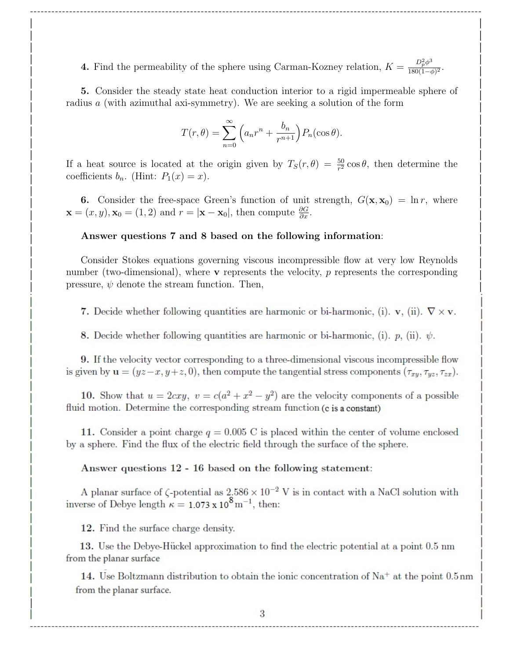4. Find the permeability of the sphere using Carman-Kozney relation,  $K = \frac{D_p^2 \phi^3}{180(1-\epsilon)}$  $\frac{D_p \varphi}{180(1-\phi)^2}$ .  $\overline{D}$   $\overline{D}$   $\overline{D}$   $\overline{D}$   $\overline{D}$   $\overline{D}$   $\overline{D}$   $\overline{D}$   $\overline{D}$   $\overline{D}$   $\overline{D}$   $\overline{D}$   $\overline{D}$   $\overline{D}$   $\overline{D}$   $\overline{D}$   $\overline{D}$   $\overline{D}$   $\overline{D}$   $\overline{D}$   $\overline{D}$   $\overline{D}$   $\overline{D}$   $\overline{D}$   $\overline{$ 4. Find the permeability of the sphere using Carman-Kozney relation,  $K = \frac{180(1-\phi)^2}{180(1-\phi)^2}$ .

------------------------------------------------------------------------------------------------------------------------------- | | | | | |

5. Consider the steady state heat conduction interior to a rigid impermeable sphere of radius  $a$  (with azimuthal axi-symmetry). We are seeking a solution of the form | |  $\mathcal{P}$   $\mathcal{P}$   $\mathcal{P}$   $\mathcal{P}$   $\mathcal{P}$   $\mathcal{P}$   $\mathcal{P}$   $\mathcal{P}$   $\mathcal{P}$   $\mathcal{P}$   $\mathcal{P}$   $\mathcal{P}$   $\mathcal{P}$   $\mathcal{P}$   $\mathcal{P}$   $\mathcal{P}$   $\mathcal{P}$   $\mathcal{P}$   $\mathcal{P}$   $\mathcal{P}$   $\mathcal{P}$   $\mathcal{P}$   $\mathcal{P}$   $\mathcal{P}$   $\mathcal{P$ 

$$
T(r,\theta) = \sum_{n=0}^{\infty} \left( a_n r^n + \frac{b_n}{r^{n+1}} \right) P_n(\cos \theta).
$$

If a heat source is located at the origin given by  $T_S(r, \theta) = \frac{50}{r^2} \cos \theta$ , then determine the coefficients  $b_n$ . (Hint:  $P_1(x) = x$ ). | | If a heat source is located at the origin given by  $T_S(r, \theta) = \frac{52}{r^2} \cos \theta$ , then determine the

6. Consider the free-space Green's function of unit strength,  $G(\mathbf{x}, \mathbf{x}_0) = \ln r$ , where  $\mathbf{x} = (x, y), \mathbf{x}_0 = (1, 2) \text{ and } r = |\mathbf{x} - \mathbf{x}_0|, \text{ then compute } \frac{\partial G}{\partial x}.$ | |

#### | Answer questions 7 and 8 based on the following information: | |

Consider Stokes equations governing viscous incompressible flow at very low Reynolds | | number (two-dimensional), where **v** represents the velocity, *p* represents the corresponding  $\Box$  pressure,  $\psi$  denote the stream function. Then, | |

7. Decide whether following quantities are harmonic or bi-harmonic, (i).  $\mathbf{v}$ , (ii).  $\nabla \times \mathbf{v}$ .

8. Decide whether following quantities are harmonic or bi-harmonic, (i).  $p$ , (ii).  $\psi$ . | | | |

| |

1 9. If the velocity vector corresponding to a three-dimensional viscous incompressible flow is given by  $\mathbf{u} = (yz-x, y+z, 0)$ , then compute the tangential stress components  $(\tau_{xy}, \tau_{yz}, \tau_{zx})$ .

10. Show that  $u = 2cxy$ ,  $v = c(a^2 + x^2 - y^2)$  are the velocity components of a possible fluid motion. Determine the corresponding stream function (c is a constant)

| |

| |

| |

| |

| |

11. Consider a point charge  $q = 0.005$  C is placed within the center of volume enclosed | by a sphere. Find the flux of the electric field through the surface of the sphere.

## Answer questions 12 - 16 based on the following statement:

A planar surface of  $\zeta$ -potential as  $2.586 \times 10^{-2}$  V is in contact with a NaCl solution with inverse of Debye length  $\kappa = 1.073 \times 10^{8} \text{ m}^{-1}$ , then:

|<br>
12. Find the surface charge density.

|

13. Use the Debye-Huckel approximation to find the electric potential at a point 0.5 nm. | | 15. Use the Debye-Hucker approximation to find the electric potential at a point 0.5 nm | | from the planar surface

14. Use Boltzmann distribution to obtain the ionic concentration of  $\text{Na}^+$  at the point 0.5 nm from the planar surface.

|<br>|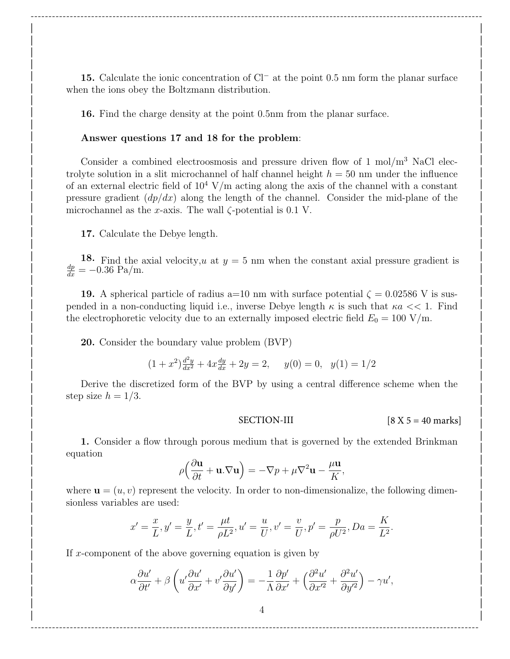15. Calculate the ionic concentration of Cl<sup>−</sup> at the point 0.5 nm form the planar surface | | | when the ions obey the Boltzmann distribution.

| |

| |

| |

------------------------------------------------------------------------------------------------------------------------------- | | | | | | | |

16. Find the charge density at the point 0.5nm from the planar surface.

#### | Answer questions 17 and 18 for the problem:

Consider a combined electroosmosis and pressure driven flow of  $1 \text{ mol/m}^3$  NaCl electrolyte solution in a slit microchannel of half channel height  $h = 50$  nm under the influence of an external electric field of  $10^4$  V/m acting along the axis of the channel with a constant pressure gradient  $\left(\frac{dp}{dx}\right)$  along the length of the channel. Consider the mid-plane of the microchannel as the x-axis. The wall  $\zeta$ -potential is 0.1 V. | |

| 17. Calculate the Debye length.

18. Find the axial velocity, u at  $y = 5$  nm when the constant axial pressure gradient is  $\frac{dp}{dx} = -0.36 \text{ Pa/m}.$  $\frac{dp}{dt} = -0.36 \text{ Pa/m}.$  $\frac{1}{2}$  and  $\frac{1}{2}$  are the set of  $\frac{1}{2}$  and  $\frac{1}{2}$  and  $\frac{1}{2}$  are the set of  $\frac{1}{2}$  and  $\frac{1}{2}$  and  $\frac{1}{2}$  are the set of  $\frac{1}{2}$  and  $\frac{1}{2}$  and  $\frac{1}{2}$  and  $\frac{1}{2}$  and  $\frac{1}{2}$  and  $\frac{1}{$ 

| |

19. A spherical particle of radius a=10 nm with surface potential  $\zeta = 0.02586$  V is suspended in a non-conducting liquid i.e., inverse Debye length  $\kappa$  is such that  $\kappa a \ll 1$ . Find the electrophoretic velocity due to an externally imposed electric field  $E_0 = 100 \text{ V/m}$ .

| |

| |

| **20.** Consider the boundary value problem (BVP)

$$
(1+x^2)\frac{d^2y}{dx^2} + 4x\frac{dy}{dx} + 2y = 2, \quad y(0) = 0, \quad y(1) = 1/2
$$

Derive the discretized form of the BVP by using a central difference scheme when the step size  $h = 1/3$ . | | | Derive the discretized form of the BVP by using a central difference scheme when the  $\text{step size } n = 1/3.$ 

SECTION-III  $[8 X 5 = 40 marks]$ | |  $\text{SECIION-III}$   $[8 \text{ A } 5 = 40 \text{ marks}]$ 

,

|<br>
1. Consider a flow through porous medium that is governed by the extended Brinkman equation 1. Consider a now enough porous incurant end is governed by the executed Drimman  $\partial u$   $\partial u$   $\partial u$   $\partial u$   $\partial u$   $\partial u$   $\partial u$   $\partial u$   $\partial u$   $\partial u$   $\partial u$   $\partial u$   $\partial u$   $\partial u$   $\partial u$   $\partial u$   $\partial u$   $\partial u$   $\partial u$   $\partial u$   $\partial u$   $\partial u$   $\partial u$   $\partial u$   $\partial u$   $\partial u$   $\partial u$   $\partial u$   $\partial u$   $\partial u$   $\partial u$   $\partial u$   $\partial u$   $\partial u$   $\partial u$   $\partial u$   $\partial u$ 

$$
\rho \left( \frac{\partial \mathbf{u}}{\partial t} + \mathbf{u} . \nabla \mathbf{u} \right) = -\nabla p + \mu \nabla^2 \mathbf{u} - \frac{\mu \mathbf{u}}{K},
$$

where  $\mathbf{u} = (u, v)$  represent the velocity. In order to non-dimensionalize, the following dimensionless variables are used: | | where  $\mathbf{u} = (u, v)$  represent the velocity. In order to non-dimensionalize, the following dimen- $\blacksquare$ 

$$
x' = \frac{x}{L}, y' = \frac{y}{L}, t' = \frac{\mu t}{\rho L^2}, u' = \frac{u}{U}, v' = \frac{v}{U}, p' = \frac{p}{\rho U^2}, Da = \frac{K}{L^2}.
$$

If x-component of the above governing equation is given by

$$
\alpha \frac{\partial u'}{\partial t'} + \beta \left( u' \frac{\partial u'}{\partial x'} + v' \frac{\partial u'}{\partial y'} \right) = -\frac{1}{\Lambda} \frac{\partial p'}{\partial x'} + \left( \frac{\partial^2 u'}{\partial x'^2} + \frac{\partial^2 u'}{\partial y'^2} \right) - \gamma u',
$$

------------------------------------------------------------------------------------------------------------------------------